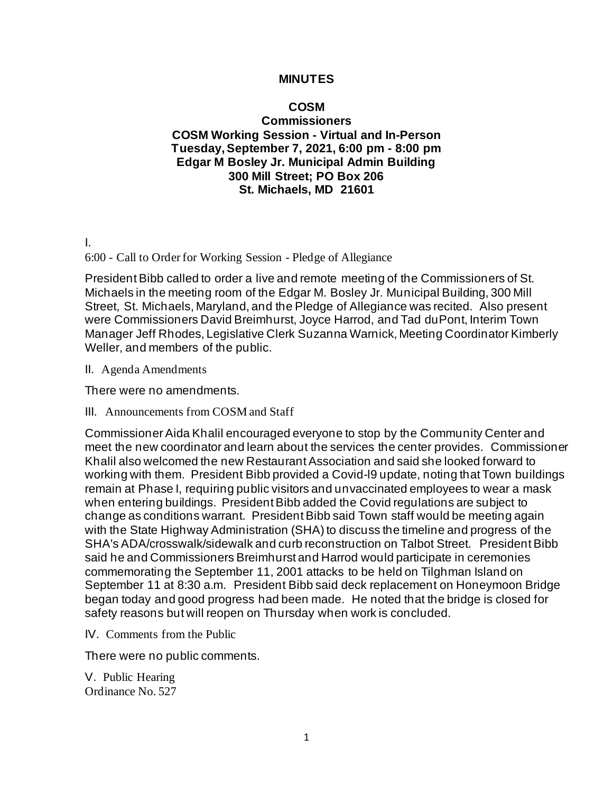## **MINUTES**

## **COSM Commissioners COSM Working Session - Virtual and In-Person Tuesday, September 7, 2021, 6:00 pm - 8:00 pm Edgar M Bosley Jr. Municipal Admin Building 300 Mill Street; PO Box 206 St. Michaels, MD 21601**

I.

6:00 - Call to Order for Working Session - Pledge of Allegiance

President Bibb called to order a live and remote meeting of the Commissioners of St. Michaels in the meeting room of the Edgar M. Bosley Jr. Municipal Building, 300 Mill Street, St. Michaels, Maryland, and the Pledge of Allegiance was recited. Also present were Commissioners David Breimhurst, Joyce Harrod, and Tad duPont, Interim Town Manager Jeff Rhodes, Legislative Clerk Suzanna Warnick, Meeting Coordinator Kimberly Weller, and members of the public.

II. Agenda Amendments

There were no amendments.

III. Announcements from COSM and Staff

Commissioner Aida Khalil encouraged everyone to stop by the Community Center and meet the new coordinator and learn about the services the center provides. Commissioner Khalil also welcomed the new Restaurant Association and said she looked forward to working with them. President Bibb provided a Covid-l9 update, noting that Town buildings remain at Phase I, requiring public visitors and unvaccinated employees to wear a mask when entering buildings. President Bibb added the Covid regulations are subject to change as conditions warrant. President Bibb said Town staff would be meeting again with the State Highway Administration (SHA) to discuss the timeline and progress of the SHA's ADA/crosswalk/sidewalk and curb reconstruction on Talbot Street. President Bibb said he and Commissioners Breimhurst and Harrod would participate in ceremonies commemorating the September 11, 2001 attacks to be held on Tilghman Island on September 11 at 8:30 a.m. President Bibb said deck replacement on Honeymoon Bridge began today and good progress had been made. He noted that the bridge is closed for safety reasons but will reopen on Thursday when work is concluded.

IV. Comments from the Public

There were no public comments.

V. Public Hearing Ordinance No. 527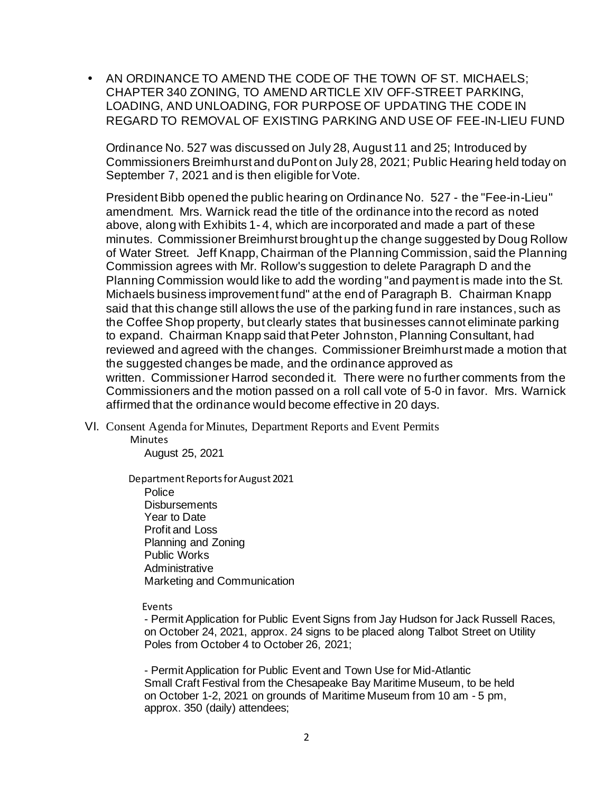• AN ORDINANCE TO AMEND THE CODE OF THE TOWN OF ST. MICHAELS; CHAPTER 340 ZONING, TO AMEND ARTICLE XIV OFF-STREET PARKING, LOADING, AND UNLOADING, FOR PURPOSE OF UPDATING THE CODE IN REGARD TO REMOVAL OF EXISTING PARKING AND USE OF FEE-IN-LIEU FUND

Ordinance No. 527 was discussed on July 28, August 11 and 25; Introduced by Commissioners Breimhurst and duPont on July 28, 2021; Public Hearing held today on September 7, 2021 and is then eligible for Vote.

President Bibb opened the public hearing on Ordinance No. 527 - the "Fee-in-Lieu" amendment. Mrs. Warnick read the title of the ordinance into the record as noted above, along with Exhibits 1- 4, which are incorporated and made a part of these minutes. Commissioner Breimhurst brought up the change suggested by Doug Rollow of Water Street. Jeff Knapp, Chairman of the Planning Commission, said the Planning Commission agrees with Mr. Rollow's suggestion to delete Paragraph D and the Planning Commission would like to add the wording "and payment is made into the St. Michaels business improvement fund" at the end of Paragraph B. Chairman Knapp said that this change still allows the use of the parking fund in rare instances, such as the Coffee Shop property, but clearly states that businesses cannot eliminate parking to expand. Chairman Knapp said that Peter Johnston, Planning Consultant, had reviewed and agreed with the changes. Commissioner Breimhurst made a motion that the suggested changes be made, and the ordinance approved as written. Commissioner Harrod seconded it. There were no further comments from the Commissioners and the motion passed on a roll call vote of 5-0 in favor. Mrs. Warnick affirmed that the ordinance would become effective in 20 days.

VI. Consent Agenda for Minutes, Department Reports and Event Permits

 Minutes August 25, 2021

Department Reports for August 2021 Police Disbursements Year to Date Profit and Loss Planning and Zoning Public Works Administrative Marketing and Communication

Events

- Permit Application for Public Event Signs from Jay Hudson for Jack Russell Races, on October 24, 2021, approx. 24 signs to be placed along Talbot Street on Utility Poles from October 4 to October 26, 2021;

- Permit Application for Public Event and Town Use for Mid-Atlantic Small Craft Festival from the Chesapeake Bay Maritime Museum, to be held on October 1-2, 2021 on grounds of Maritime Museum from 10 am - 5 pm, approx. 350 (daily) attendees;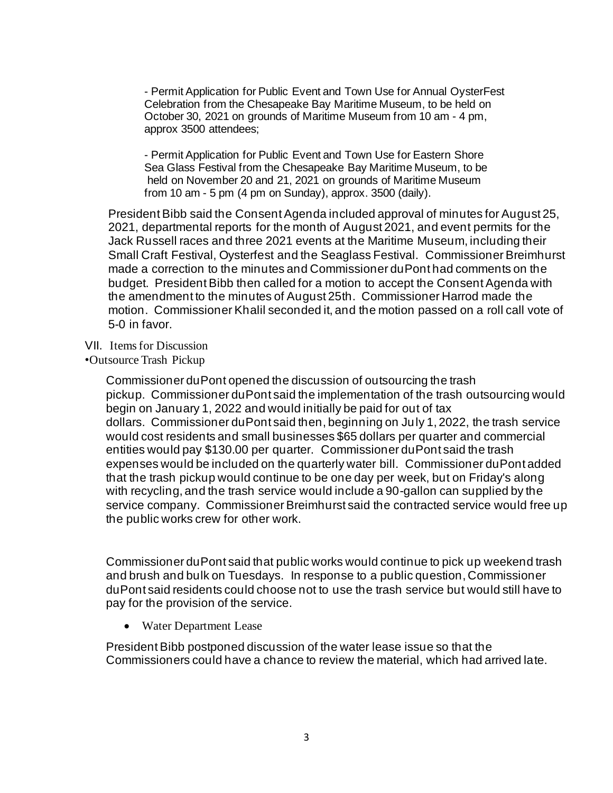- Permit Application for Public Event and Town Use for Annual OysterFest Celebration from the Chesapeake Bay Maritime Museum, to be held on October 30, 2021 on grounds of Maritime Museum from 10 am - 4 pm, approx 3500 attendees;

- Permit Application for Public Event and Town Use for Eastern Shore Sea Glass Festival from the Chesapeake Bay Maritime Museum, to be held on November 20 and 21, 2021 on grounds of Maritime Museum from 10 am - 5 pm (4 pm on Sunday), approx. 3500 (daily).

President Bibb said the Consent Agenda included approval of minutes for August 25, 2021, departmental reports for the month of August 2021, and event permits for the Jack Russell races and three 2021 events at the Maritime Museum, including their Small Craft Festival, Oysterfest and the Seaglass Festival. Commissioner Breimhurst made a correction to the minutes and Commissioner duPont had comments on the budget. President Bibb then called for a motion to accept the Consent Agenda with the amendment to the minutes of August 25th. Commissioner Harrod made the motion. Commissioner Khalil seconded it, and the motion passed on a roll call vote of 5-0 in favor.

VII. Items for Discussion

•Outsource Trash Pickup

Commissioner duPont opened the discussion of outsourcing the trash pickup. Commissioner duPont said the implementation of the trash outsourcing would begin on January 1, 2022 and would initially be paid for out of tax dollars. Commissioner duPont said then, beginning on July 1, 2022, the trash service would cost residents and small businesses \$65 dollars per quarter and commercial entities would pay \$130.00 per quarter. Commissioner duPont said the trash expenses would be included on the quarterly water bill. Commissioner duPont added that the trash pickup would continue to be one day per week, but on Friday's along with recycling, and the trash service would include a 90-gallon can supplied by the service company. Commissioner Breimhurst said the contracted service would free up the public works crew for other work.

Commissioner duPont said that public works would continue to pick up weekend trash and brush and bulk on Tuesdays. In response to a public question, Commissioner duPont said residents could choose not to use the trash service but would still have to pay for the provision of the service.

• Water Department Lease

President Bibb postponed discussion of the water lease issue so that the Commissioners could have a chance to review the material, which had arrived late.